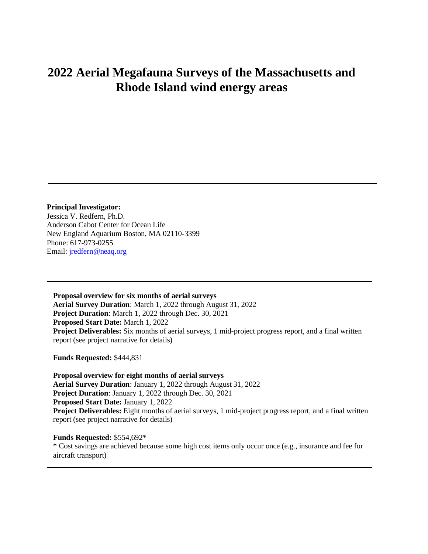## **2022 Aerial Megafauna Surveys of the Massachusetts and Rhode Island wind energy areas**

**Principal Investigator:** Jessica V. Redfern, Ph.D. Anderson Cabot Center for Ocean Life New England Aquarium Boston, MA 02110-3399 Phone: 617-973-0255 Email: [jredfern@neaq.org](mailto:skraus@neaq.org)

**Proposal overview for six months of aerial surveys Aerial Survey Duration**: March 1, 2022 through August 31, 2022 **Project Duration**: March 1, 2022 through Dec. 30, 2021 **Proposed Start Date:** March 1, 2022 **Project Deliverables:** Six months of aerial surveys, 1 mid-project progress report, and a final written report (see project narrative for details)

**Funds Requested:** \$444,831

**Proposal overview for eight months of aerial surveys Aerial Survey Duration**: January 1, 2022 through August 31, 2022 **Project Duration**: January 1, 2022 through Dec. 30, 2021 **Proposed Start Date:** January 1, 2022 **Project Deliverables:** Eight months of aerial surveys, 1 mid-project progress report, and a final written report (see project narrative for details)

**Funds Requested:** \$554,692\* \* Cost savings are achieved because some high cost items only occur once (e.g., insurance and fee for aircraft transport)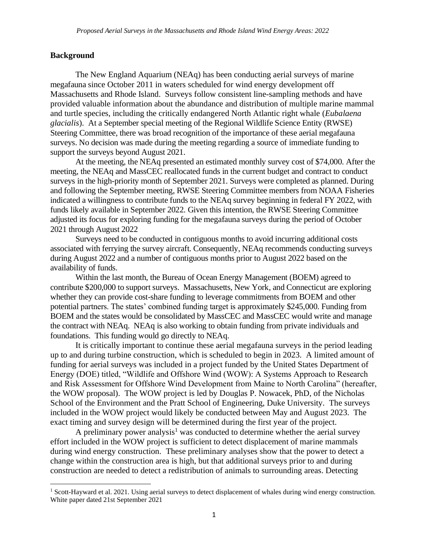#### **Background**

The New England Aquarium (NEAq) has been conducting aerial surveys of marine megafauna since October 2011 in waters scheduled for wind energy development off Massachusetts and Rhode Island. Surveys follow consistent line-sampling methods and have provided valuable information about the abundance and distribution of multiple marine mammal and turtle species, including the critically endangered North Atlantic right whale (*Eubalaena glacialis*). At a September special meeting of the Regional Wildlife Science Entity (RWSE) Steering Committee, there was broad recognition of the importance of these aerial megafauna surveys. No decision was made during the meeting regarding a source of immediate funding to support the surveys beyond August 2021.

At the meeting, the NEAq presented an estimated monthly survey cost of \$74,000. After the meeting, the NEAq and MassCEC reallocated funds in the current budget and contract to conduct surveys in the high-priority month of September 2021. Surveys were completed as planned. During and following the September meeting, RWSE Steering Committee members from NOAA Fisheries indicated a willingness to contribute funds to the NEAq survey beginning in federal FY 2022, with funds likely available in September 2022. Given this intention, the RWSE Steering Committee adjusted its focus for exploring funding for the megafauna surveys during the period of October 2021 through August 2022

Surveys need to be conducted in contiguous months to avoid incurring additional costs associated with ferrying the survey aircraft. Consequently, NEAq recommends conducting surveys during August 2022 and a number of contiguous months prior to August 2022 based on the availability of funds.

Within the last month, the Bureau of Ocean Energy Management (BOEM) agreed to contribute \$200,000 to support surveys. Massachusetts, New York, and Connecticut are exploring whether they can provide cost-share funding to leverage commitments from BOEM and other potential partners. The states' combined funding target is approximately \$245,000. Funding from BOEM and the states would be consolidated by MassCEC and MassCEC would write and manage the contract with NEAq. NEAq is also working to obtain funding from private individuals and foundations. This funding would go directly to NEAq.

It is critically important to continue these aerial megafauna surveys in the period leading up to and during turbine construction, which is scheduled to begin in 2023. A limited amount of funding for aerial surveys was included in a project funded by the United States Department of Energy (DOE) titled, "Wildlife and Offshore Wind (WOW): A Systems Approach to Research and Risk Assessment for Offshore Wind Development from Maine to North Carolina" (hereafter, the WOW proposal). The WOW project is led by Douglas P. Nowacek, PhD, of the Nicholas School of the Environment and the Pratt School of Engineering, Duke University. The surveys included in the WOW project would likely be conducted between May and August 2023. The exact timing and survey design will be determined during the first year of the project.

A preliminary power analysis<sup>1</sup> was conducted to determine whether the aerial survey effort included in the WOW project is sufficient to detect displacement of marine mammals during wind energy construction. These preliminary analyses show that the power to detect a change within the construction area is high, but that additional surveys prior to and during construction are needed to detect a redistribution of animals to surrounding areas. Detecting

<sup>&</sup>lt;sup>1</sup> Scott-Hayward et al. 2021. Using aerial surveys to detect displacement of whales during wind energy construction. White paper dated 21st September 2021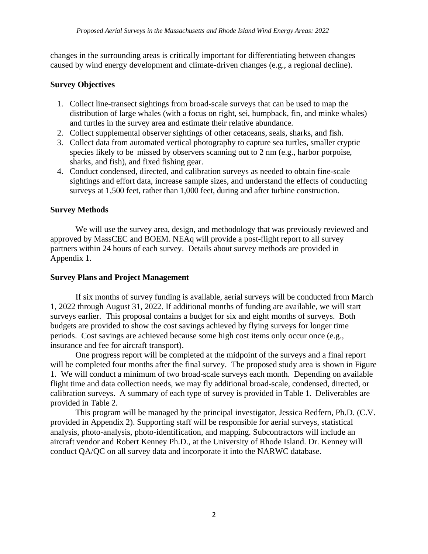changes in the surrounding areas is critically important for differentiating between changes caused by wind energy development and climate-driven changes (e.g., a regional decline).

### **Survey Objectives**

- 1. Collect line-transect sightings from broad-scale surveys that can be used to map the distribution of large whales (with a focus on right, sei, humpback, fin, and minke whales) and turtles in the survey area and estimate their relative abundance.
- 2. Collect supplemental observer sightings of other cetaceans, seals, sharks, and fish.
- 3. Collect data from automated vertical photography to capture sea turtles, smaller cryptic species likely to be missed by observers scanning out to 2 nm (e.g., harbor porpoise, sharks, and fish), and fixed fishing gear.
- 4. Conduct condensed, directed, and calibration surveys as needed to obtain fine-scale sightings and effort data, increase sample sizes, and understand the effects of conducting surveys at 1,500 feet, rather than 1,000 feet, during and after turbine construction.

### **Survey Methods**

We will use the survey area, design, and methodology that was previously reviewed and approved by MassCEC and BOEM. NEAq will provide a post-flight report to all survey partners within 24 hours of each survey. Details about survey methods are provided in Appendix 1.

### **Survey Plans and Project Management**

If six months of survey funding is available, aerial surveys will be conducted from March 1, 2022 through August 31, 2022. If additional months of funding are available, we will start surveys earlier. This proposal contains a budget for six and eight months of surveys. Both budgets are provided to show the cost savings achieved by flying surveys for longer time periods. Cost savings are achieved because some high cost items only occur once (e.g., insurance and fee for aircraft transport).

One progress report will be completed at the midpoint of the surveys and a final report will be completed four months after the final survey. The proposed study area is shown in Figure 1. We will conduct a minimum of two broad-scale surveys each month. Depending on available flight time and data collection needs, we may fly additional broad-scale, condensed, directed, or calibration surveys. A summary of each type of survey is provided in Table 1. Deliverables are provided in Table 2.

This program will be managed by the principal investigator, Jessica Redfern, Ph.D. (C.V. provided in Appendix 2). Supporting staff will be responsible for aerial surveys, statistical analysis, photo-analysis, photo-identification, and mapping. Subcontractors will include an aircraft vendor and Robert Kenney Ph.D., at the University of Rhode Island. Dr. Kenney will conduct QA/QC on all survey data and incorporate it into the NARWC database.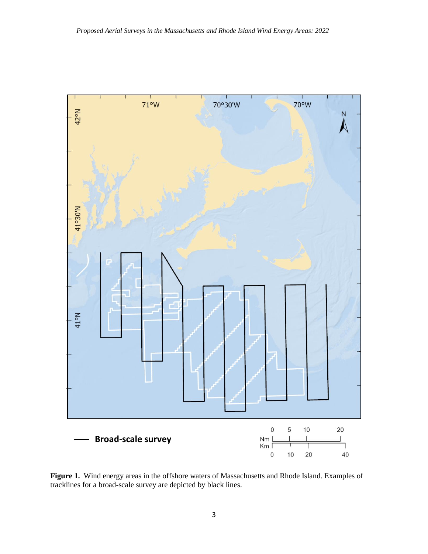

**Figure 1.** Wind energy areas in the offshore waters of Massachusetts and Rhode Island. Examples of tracklines for a broad-scale survey are depicted by black lines.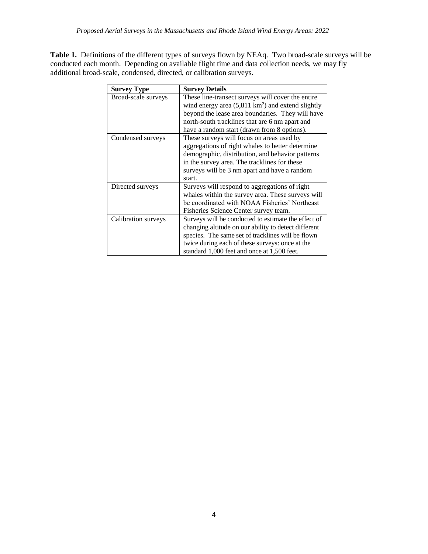**Table 1.** Definitions of the different types of surveys flown by NEAq. Two broad-scale surveys will be conducted each month. Depending on available flight time and data collection needs, we may fly additional broad-scale, condensed, directed, or calibration surveys.

| <b>Survey Type</b>  | <b>Survey Details</b>                                       |
|---------------------|-------------------------------------------------------------|
| Broad-scale surveys | These line-transect surveys will cover the entire           |
|                     | wind energy area $(5,811 \text{ km}^2)$ and extend slightly |
|                     | beyond the lease area boundaries. They will have            |
|                     | north-south tracklines that are 6 nm apart and              |
|                     | have a random start (drawn from 8 options).                 |
| Condensed surveys   | These surveys will focus on areas used by                   |
|                     | aggregations of right whales to better determine            |
|                     | demographic, distribution, and behavior patterns            |
|                     | in the survey area. The tracklines for these                |
|                     | surveys will be 3 nm apart and have a random                |
|                     | start.                                                      |
| Directed surveys    | Surveys will respond to aggregations of right               |
|                     | whales within the survey area. These surveys will           |
|                     | be coordinated with NOAA Fisheries' Northeast               |
|                     | Fisheries Science Center survey team.                       |
| Calibration surveys | Surveys will be conducted to estimate the effect of         |
|                     | changing altitude on our ability to detect different        |
|                     | species. The same set of tracklines will be flown           |
|                     | twice during each of these surveys: once at the             |
|                     | standard 1,000 feet and once at 1,500 feet.                 |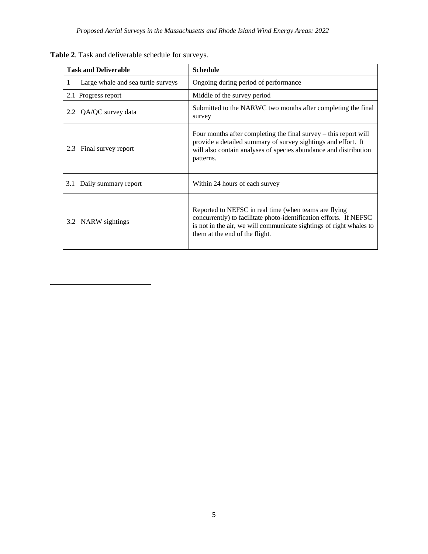| <b>Task and Deliverable</b>             | <b>Schedule</b>                                                                                                                                                                                                                      |
|-----------------------------------------|--------------------------------------------------------------------------------------------------------------------------------------------------------------------------------------------------------------------------------------|
| Large whale and sea turtle surveys<br>1 | Ongoing during period of performance                                                                                                                                                                                                 |
| 2.1 Progress report                     | Middle of the survey period                                                                                                                                                                                                          |
| 2.2 QA/QC survey data                   | Submitted to the NARWC two months after completing the final<br>survey                                                                                                                                                               |
| Final survey report<br>2.3              | Four months after completing the final survey $-$ this report will<br>provide a detailed summary of survey sightings and effort. It<br>will also contain analyses of species abundance and distribution<br>patterns.                 |
| 3.1 Daily summary report                | Within 24 hours of each survey                                                                                                                                                                                                       |
| 3.2 NARW sightings                      | Reported to NEFSC in real time (when teams are flying<br>concurrently) to facilitate photo-identification efforts. If NEFSC<br>is not in the air, we will communicate sightings of right whales to<br>them at the end of the flight. |

**Table 2**. Task and deliverable schedule for surveys.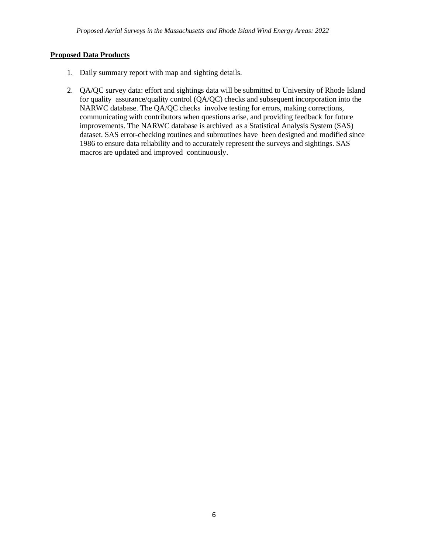#### **Proposed Data Products**

- 1. Daily summary report with map and sighting details.
- 2. QA/QC survey data: effort and sightings data will be submitted to University of Rhode Island for quality assurance/quality control (QA/QC) checks and subsequent incorporation into the NARWC database. The QA/QC checks involve testing for errors, making corrections, communicating with contributors when questions arise, and providing feedback for future improvements. The NARWC database is archived as a Statistical Analysis System (SAS) dataset. SAS error-checking routines and subroutines have been designed and modified since 1986 to ensure data reliability and to accurately represent the surveys and sightings. SAS macros are updated and improved continuously.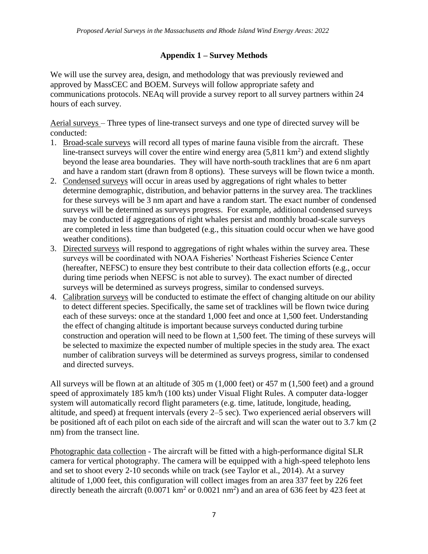### **Appendix 1 – Survey Methods**

We will use the survey area, design, and methodology that was previously reviewed and approved by MassCEC and BOEM. Surveys will follow appropriate safety and communications protocols. NEAq will provide a survey report to all survey partners within 24 hours of each survey.

Aerial surveys – Three types of line-transect surveys and one type of directed survey will be conducted:

- 1. Broad-scale surveys will record all types of marine fauna visible from the aircraft. These line-transect surveys will cover the entire wind energy area  $(5,811 \text{ km}^2)$  and extend slightly beyond the lease area boundaries. They will have north-south tracklines that are 6 nm apart and have a random start (drawn from 8 options). These surveys will be flown twice a month.
- 2. Condensed surveys will occur in areas used by aggregations of right whales to better determine demographic, distribution, and behavior patterns in the survey area. The tracklines for these surveys will be 3 nm apart and have a random start. The exact number of condensed surveys will be determined as surveys progress. For example, additional condensed surveys may be conducted if aggregations of right whales persist and monthly broad-scale surveys are completed in less time than budgeted (e.g., this situation could occur when we have good weather conditions).
- 3. Directed surveys will respond to aggregations of right whales within the survey area. These surveys will be coordinated with NOAA Fisheries' Northeast Fisheries Science Center (hereafter, NEFSC) to ensure they best contribute to their data collection efforts (e.g., occur during time periods when NEFSC is not able to survey). The exact number of directed surveys will be determined as surveys progress, similar to condensed surveys.
- 4. Calibration surveys will be conducted to estimate the effect of changing altitude on our ability to detect different species. Specifically, the same set of tracklines will be flown twice during each of these surveys: once at the standard 1,000 feet and once at 1,500 feet. Understanding the effect of changing altitude is important because surveys conducted during turbine construction and operation will need to be flown at 1,500 feet. The timing of these surveys will be selected to maximize the expected number of multiple species in the study area. The exact number of calibration surveys will be determined as surveys progress, similar to condensed and directed surveys.

All surveys will be flown at an altitude of 305 m (1,000 feet) or 457 m (1,500 feet) and a ground speed of approximately 185 km/h (100 kts) under Visual Flight Rules. A computer data-logger system will automatically record flight parameters (e.g. time, latitude, longitude, heading, altitude, and speed) at frequent intervals (every 2–5 sec). Two experienced aerial observers will be positioned aft of each pilot on each side of the aircraft and will scan the water out to 3.7 km (2 nm) from the transect line.

Photographic data collection - The aircraft will be fitted with a high-performance digital SLR camera for vertical photography. The camera will be equipped with a high-speed telephoto lens and set to shoot every 2-10 seconds while on track (see Taylor et al., 2014). At a survey altitude of 1,000 feet, this configuration will collect images from an area 337 feet by 226 feet directly beneath the aircraft  $(0.0071 \text{ km}^2 \text{ or } 0.0021 \text{ nm}^2)$  and an area of 636 feet by 423 feet at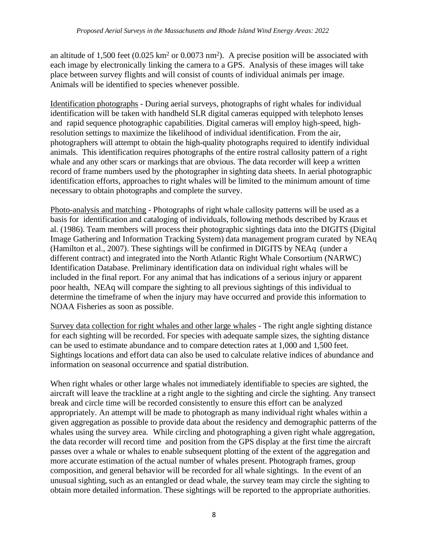an altitude of 1,500 feet  $(0.025 \text{ km}^2 \text{ or } 0.0073 \text{ nm}^2)$ . A precise position will be associated with each image by electronically linking the camera to a GPS. Analysis of these images will take place between survey flights and will consist of counts of individual animals per image. Animals will be identified to species whenever possible.

Identification photographs - During aerial surveys, photographs of right whales for individual identification will be taken with handheld SLR digital cameras equipped with telephoto lenses and rapid sequence photographic capabilities. Digital cameras will employ high-speed, highresolution settings to maximize the likelihood of individual identification. From the air, photographers will attempt to obtain the high-quality photographs required to identify individual animals. This identification requires photographs of the entire rostral callosity pattern of a right whale and any other scars or markings that are obvious. The data recorder will keep a written record of frame numbers used by the photographer in sighting data sheets. In aerial photographic identification efforts, approaches to right whales will be limited to the minimum amount of time necessary to obtain photographs and complete the survey.

Photo-analysis and matching - Photographs of right whale callosity patterns will be used as a basis for identification and cataloging of individuals, following methods described by Kraus et al. (1986). Team members will process their photographic sightings data into the DIGITS (Digital Image Gathering and Information Tracking System) data management program curated by NEAq (Hamilton et al., 2007). These sightings will be confirmed in DIGITS by NEAq (under a different contract) and integrated into the North Atlantic Right Whale Consortium (NARWC) Identification Database. Preliminary identification data on individual right whales will be included in the final report. For any animal that has indications of a serious injury or apparent poor health, NEAq will compare the sighting to all previous sightings of this individual to determine the timeframe of when the injury may have occurred and provide this information to NOAA Fisheries as soon as possible.

Survey data collection for right whales and other large whales - The right angle sighting distance for each sighting will be recorded. For species with adequate sample sizes, the sighting distance can be used to estimate abundance and to compare detection rates at 1,000 and 1,500 feet. Sightings locations and effort data can also be used to calculate relative indices of abundance and information on seasonal occurrence and spatial distribution.

When right whales or other large whales not immediately identifiable to species are sighted, the aircraft will leave the trackline at a right angle to the sighting and circle the sighting. Any transect break and circle time will be recorded consistently to ensure this effort can be analyzed appropriately. An attempt will be made to photograph as many individual right whales within a given aggregation as possible to provide data about the residency and demographic patterns of the whales using the survey area. While circling and photographing a given right whale aggregation, the data recorder will record time and position from the GPS display at the first time the aircraft passes over a whale or whales to enable subsequent plotting of the extent of the aggregation and more accurate estimation of the actual number of whales present. Photograph frames, group composition, and general behavior will be recorded for all whale sightings. In the event of an unusual sighting, such as an entangled or dead whale, the survey team may circle the sighting to obtain more detailed information. These sightings will be reported to the appropriate authorities.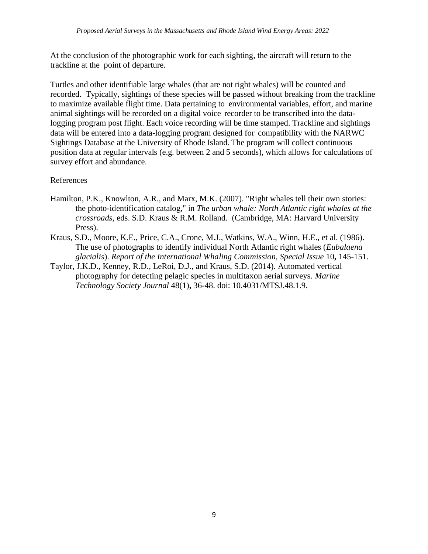At the conclusion of the photographic work for each sighting, the aircraft will return to the trackline at the point of departure.

Turtles and other identifiable large whales (that are not right whales) will be counted and recorded. Typically, sightings of these species will be passed without breaking from the trackline to maximize available flight time. Data pertaining to environmental variables, effort, and marine animal sightings will be recorded on a digital voice recorder to be transcribed into the datalogging program post flight. Each voice recording will be time stamped. Trackline and sightings data will be entered into a data-logging program designed for compatibility with the NARWC Sightings Database at the University of Rhode Island. The program will collect continuous position data at regular intervals (e.g. between 2 and 5 seconds), which allows for calculations of survey effort and abundance.

### References

- Hamilton, P.K., Knowlton, A.R., and Marx, M.K. (2007). "Right whales tell their own stories: the photo-identification catalog," in *The urban whale: North Atlantic right whales at the crossroads,* eds. S.D. Kraus & R.M. Rolland. (Cambridge, MA: Harvard University Press).
- Kraus, S.D., Moore, K.E., Price, C.A., Crone, M.J., Watkins, W.A., Winn, H.E., et al. (1986). The use of photographs to identify individual North Atlantic right whales (*Eubalaena glacialis*). *Report of the International Whaling Commission, Special Issue* 10**,** 145-151.
- Taylor, J.K.D., Kenney, R.D., LeRoi, D.J., and Kraus, S.D. (2014). Automated vertical photography for detecting pelagic species in multitaxon aerial surveys. *Marine Technology Society Journal* 48(1)**,** 36-48. doi: 10.4031/MTSJ.48.1.9.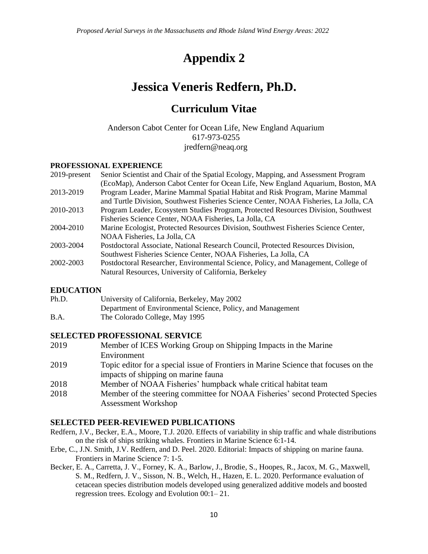# **Appendix 2**

# **Jessica Veneris Redfern, Ph.D.**

## **Curriculum Vitae**

Anderson Cabot Center for Ocean Life, New England Aquarium 617-973-0255 jredfern@neaq.org

### **PROFESSIONAL EXPERIENCE**

| Senior Scientist and Chair of the Spatial Ecology, Mapping, and Assessment Program    |
|---------------------------------------------------------------------------------------|
| (EcoMap), Anderson Cabot Center for Ocean Life, New England Aquarium, Boston, MA      |
| Program Leader, Marine Mammal Spatial Habitat and Risk Program, Marine Mammal         |
| and Turtle Division, Southwest Fisheries Science Center, NOAA Fisheries, La Jolla, CA |
| Program Leader, Ecosystem Studies Program, Protected Resources Division, Southwest    |
| Fisheries Science Center, NOAA Fisheries, La Jolla, CA                                |
| Marine Ecologist, Protected Resources Division, Southwest Fisheries Science Center,   |
| NOAA Fisheries, La Jolla, CA                                                          |
| Postdoctoral Associate, National Research Council, Protected Resources Division,      |
| Southwest Fisheries Science Center, NOAA Fisheries, La Jolla, CA                      |
| Postdoctoral Researcher, Environmental Science, Policy, and Management, College of    |
| Natural Resources, University of California, Berkeley                                 |
|                                                                                       |

### **EDUCATION**

| Ph.D. | University of California, Berkeley, May 2002                |
|-------|-------------------------------------------------------------|
|       | Department of Environmental Science, Policy, and Management |
| B.A.  | The Colorado College, May 1995                              |

### **SELECTED PROFESSIONAL SERVICE**

| 2019 | Member of ICES Working Group on Shipping Impacts in the Marine                      |
|------|-------------------------------------------------------------------------------------|
|      | Environment                                                                         |
| 2019 | Topic editor for a special issue of Frontiers in Marine Science that focuses on the |
|      | impacts of shipping on marine fauna                                                 |
| 2018 | Member of NOAA Fisheries' humpback whale critical habitat team                      |
| 2018 | Member of the steering committee for NOAA Fisheries' second Protected Species       |
|      | <b>Assessment Workshop</b>                                                          |

### **SELECTED PEER-REVIEWED PUBLICATIONS**

- Redfern, J.V., Becker, E.A., Moore, T.J. 2020. Effects of variability in ship traffic and whale distributions on the risk of ships striking whales. Frontiers in Marine Science 6:1-14.
- Erbe, C., J.N. Smith, J.V. Redfern, and D. Peel. 2020. Editorial: Impacts of shipping on marine fauna. Frontiers in Marine Science 7: 1-5.
- Becker, E. A., Carretta, J. V., Forney, K. A., Barlow, J., Brodie, S., Hoopes, R., Jacox, M. G., Maxwell, S. M., Redfern, J. V., Sisson, N. B., Welch, H., Hazen, E. L. 2020. Performance evaluation of cetacean species distribution models developed using generalized additive models and boosted regression trees. Ecology and Evolution 00:1– 21.